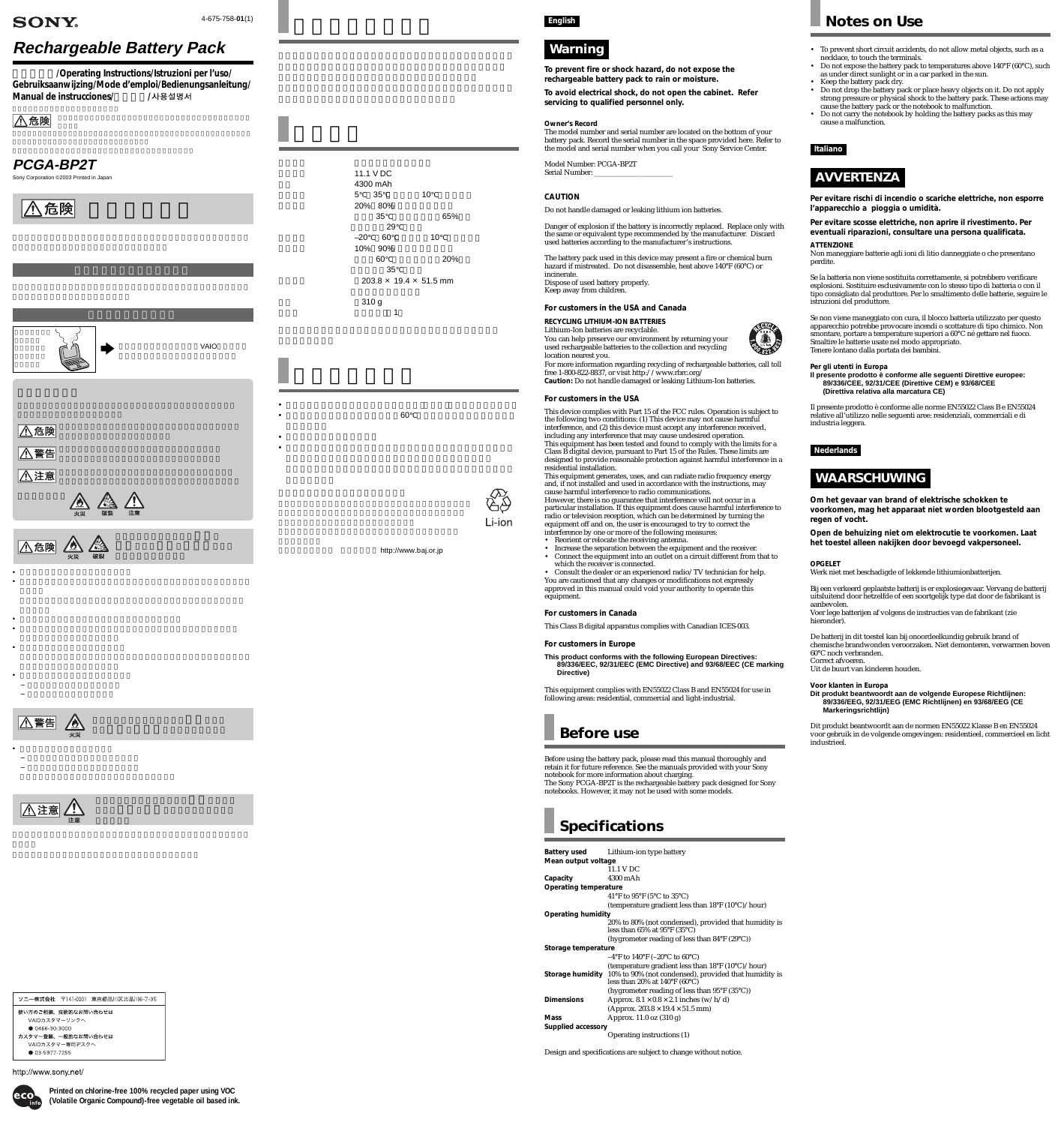# **Rechargeable Battery Pack**

**取扱説明書/Operating Instructions/Istruzioni per l'uso/ Gebruiksaanwijzing/Mode d'emploi/Bedienungsanleitung/ Manual de instrucciones/ /**

## |<u>八</u>危険







• 指定された充電方法以外で充電しない。

Model Number: PCGA-BP2T Serial Number:

• バッテリーパックに衝撃を与えない。

• 以下の場合の安全性は保証できません。

• <sub>ບ</sub> • 火のそばや炎天下などで充電したり、放置したりしない。  $\bullet$  -  $\bullet$  -  $\bullet$  -  $\bullet$  -  $\bullet$  -  $\bullet$  -  $\bullet$  -  $\bullet$  -  $\bullet$  -  $\bullet$  -  $\bullet$  -  $\bullet$  -  $\bullet$  -  $\bullet$  -  $\bullet$  -  $\bullet$  -  $\bullet$  -  $\bullet$  -  $\bullet$  -  $\bullet$  -  $\bullet$  -  $\bullet$  -  $\bullet$  -  $\bullet$  -  $\bullet$  -  $\bullet$  -  $\bullet$  -  $\bullet$  -  $\bullet$  -  $\bullet$  -  $\bullet$  -  $\bullet$ 

 $\bigwedge \stackrel{\text{\tiny def}}{=}$ 

• バッテリーパックを廃棄する場合



#### ソニー株式会社 〒141-0001 東京都品川区北品川6-7-35

使い方のご相談、技術的なお問い合わせは

VAIOカスタマーリンクへ

● 0466-30-3000

カスタマー登録、一般的なお問い合わせは VAIOカスタマー専用デスク

● 03-5977-7255

http://www.sony.net/



## **SONY**

4-675-758-**01**(1) **English**

## **Wa rning**

**To prevent fire or shock hazard, do not expose the rechargeable battery pack to rain or moisture.**

**To avoid electrical shock, do not open the cabinet. Refer servicing to qualified personnel only.**

### **Owner's Record**

The model number and serial number are located on the bottom of your battery pack. Record the serial number in the space provided here. Refer to the model and serial number when you call your Sony Service Center.

### **CAUTION**

Do not handle damaged or leaking lithium ion batteries.

Danger of explosion if the battery is incorrectly replaced. Replace only with the same or equivalent type recommended by the manufacturer. Discard used batteries according to the manufacturer's instructions.

The battery pack used in this device may present a fire or chemical burn hazard if mistreated. Do not disassemble, heat above 140°F (60°C) or incinerate. Dispose of used battery properly. Keep away from children.

### **For customers in the USA and Canada**

**RECYCLING LITHIUM-ION BATTERIES** Lithium-Ion batteries are recyclable. You can help preserve our environment by returning your used rechargeable batteries to the collection and recycling location nearest you.

For more information regarding recycling of rechargeable batteries, call toll free 1-800-822-8837, or visit http://www.rbrc.org/ **Caution:** Do not handle damaged or leaking Lithium-Ion batteries.

### **For customers in the USA**

This device complies with Part 15 of the FCC rules. Operation is subject to the following two conditions: (1) This device may not cause harmful interference, and (2) this device must accept any interference received, including any interference that may cause undesired operation. This equipment has been tested and found to comply with the limits for a Class B digital device, pursuant to Part 15 of the Rules. These limits are designed to provide reasonable protection against harmful interference in a residential installation.

This equipment generates, uses, and can radiate radio frequency energy and, if not installed and used in accordance with the instructions, may cause harmful interference to radio communications. However, there is no guarantee that interference will not occur in a particular installation. If this equipment does cause harmful interference to radio or television reception, which can be determined by turning the equipment off and on, the user is encouraged to try to correct the

- interference by one or more of the following measures:
- Reorient or relocate the receiving antenna.
- Increase the separation between the equipment and the receiver. • Connect the equipment into an outlet on a circuit different from that to which the receiver is connected.

• Consult the dealer or an experienced radio/TV technician for help. You are cautioned that any changes or modifications not expressly approved in this manual could void your authority to operate this equipment.

### **For customers in Canada**

This Class B digital apparatus complies with Canadian ICES-003.

### **For customers in Europe**

**This product conforms with the following European Directives: 89/336/EEC, 92/31/EEC (EMC Directive) and 93/68/EEC (CE marking Directive)**

This equipment complies with EN55022 Class B and EN55024 for use in following areas: residential, commercial and light-industrial.

# **Before use**

Before using the battery pack, please read this manual thoroughly and retain it for future reference. See the manuals provided with your Sony notebook for more information about charging. The Sony PCGA-BP2T is the rechargeable battery pack designed for Sony notebooks. However, it may not be used with some models.

## **Specifications**

 $\bullet$  and  $\bullet$  and  $\bullet$  and  $\bullet$  and  $\bullet$  and  $\bullet$  and  $\bullet$  and  $\bullet$  and  $\bullet$  and  $\bullet$  and  $\bullet$  and  $\bullet$  and  $\bullet$  and  $\bullet$  and  $\bullet$  and  $\bullet$  and  $\bullet$  and  $\bullet$  and  $\bullet$  and  $\bullet$  and  $\bullet$  and  $\bullet$  and  $\bullet$  and  $\bullet$  and  $\bullet$  •  $\sim$  60 $\sim$ • 水にぬらさないでください。 • 落としたり重いものを載せたりしないでください。本バッテリーパック



Li-ion

http://www.baj.or.jp



**Battery used** Lithium-ion type battery **Mean output voltage** 11.1 V DC **Capacity** 4300 mAh **Operating temperature** 41°F to 95°F (5°C to 35°C) (temperature gradient less than 18°F (10°C)/hour) **Operating humidity** 20% to 80% (not condensed), provided that humidity is less than 65% at 95°F (35°C) (hygrometer reading of less than 84°F (29°C)) **Storage temperature** –4°F to 140°F (–20°C to  $60^{\circ}$ C) (temperature gradient less than 18°F (10°C)/hour) **Storage humidity** 10% to 90% (not condensed), provided that humidity is less than 20% at  $140^{\circ}$ F (60 $^{\circ}$ C) (hygrometer reading of less than 95°F (35°C)) **Dimensions** Approx.  $8.1 \times 0.8 \times 2.1$  inches (w/h/d) (Approx.  $203.8 \times 19.4 \times 51.5$  mm) **Mass** Approx. 11.0 oz (310 g) **Supplied accessory** Operating instructions (1)

Design and specifications are subject to change without notice.



Sony Corporation ©2003 Printed in Japan



## **PCGA-BP2T**

**Printed on chlorine-free 100% recycled paper using VOC (Volatile Organic Compound)-free vegetable oil based ink.**

# **Notes on Use**

- To prevent short circuit accidents, do not allow metal objects, such as a necklace, to touch the terminals.
- Do not expose the battery pack to temperatures above 140°F (60°C), such as under direct sunlight or in a car parked in the sun.
- Keep the battery pack dry. • Do not drop the battery pack or place heavy objects on it. Do not apply
- strong pressure or physical shock to the battery pack. These actions may cause the battery pack or the notebook to malfunction.
- Do not carry the notebook by holding the battery packs as this may cause a malfunction.

### **Italiano**

# **AVVERTENZA**

**Per evitare rischi di incendio o scariche elettriche, non esporre l'apparecchio a pioggia o umidità.**

**Per evitare scosse elettriche, non aprire il rivestimento. Per eventuali riparazioni, consultare una persona qualificata.**

**ATTENZIONE** Non maneggiare batterie agli ioni di litio danneggiate o che presentano perdite.

Se la batteria non viene sostituita correttamente, si potrebbero verificare esplosioni. Sostituire esclusivamente con lo stesso tipo di batteria o con il tipo consigliato dal produttore. Per lo smaltimento delle batterie, seguire le istruzioni del produttore.

Se non viene maneggiato con cura, il blocco batteria utilizzato per questo apparecchio potrebbe provocare incendi o scottature di tipo chimico. Non smontare, portare a temperature superiori a 60°C né gettare nel fuoco. Smaltire le batterie usate nel modo appropriato. Tenere lontano dalla portata dei bambini.

**Per gli utenti in Europa**

**Il presente prodotto è conforme alle seguenti Direttive europee: 89/336/CEE, 92/31/CEE (Direttive CEM) e 93/68/CEE (Direttiva relativa alla marcatura CE)**

Il presente prodotto è conforme alle norme EN55022 Class B e EN55024 relative all'utilizzo nelle seguenti aree: residenziali, commerciali e di industria leggera.

### **Nederlands**

## **WAARSCHUWING**

**Om het gevaar van brand of elektrische schokken te voorkomen, mag het apparaat niet worden blootgesteld aan regen of vocht.**

**Open de behuizing niet om elektrocutie te voorkomen. Laat het toestel alleen nakijken door bevoegd vakpersoneel.**

### **OPGELET**

Werk niet met beschadigde of lekkende lithiumionbatterijen.

Bij een verkeerd geplaatste batterij is er explosiegevaar. Vervang de batterij uitsluitend door hetzelfde of een soortgelijk type dat door de fabrikant is aanbevolen. Voer lege batterijen af volgens de instructies van de fabrikant (zie

hieronder)

De batterij in dit toestel kan bij onoordeelkundig gebruik brand of chemische brandwonden veroorzaken. Niet demonteren, verwarmen boven 60°C noch verbranden. Correct afvoeren.

Uit de buurt van kinderen houden.

### **Voor klanten in Europa**

**Dit produkt beantwoordt aan de volgende Europese Richtlijnen: 89/336/EEG, 92/31/EEG (EMC Richtlijnen) en 93/68/EEG (CE Markeringsrichtlijn)**

Dit produkt beantwoordt aan de normen EN55022 Klasse B en EN55024 voor gebruik in de volgende omgevingen: residentieel, commercieel en licht industrieel.

 $\Lambda$ 

| 11.1 V DC<br>4300 mAh |                                    |
|-----------------------|------------------------------------|
| 5 35                  | 10                                 |
| 20% 80%               |                                    |
| 35                    | 65%                                |
| 29                    |                                    |
| $-20$ 60              | 10                                 |
| 10% 90%               |                                    |
| 60                    | 20%                                |
| 35                    | $203.8 \times 19.4 \times 51.5$ mm |
| 310g                  |                                    |
| 1                     |                                    |
|                       |                                    |
|                       |                                    |
|                       |                                    |
|                       |                                    |